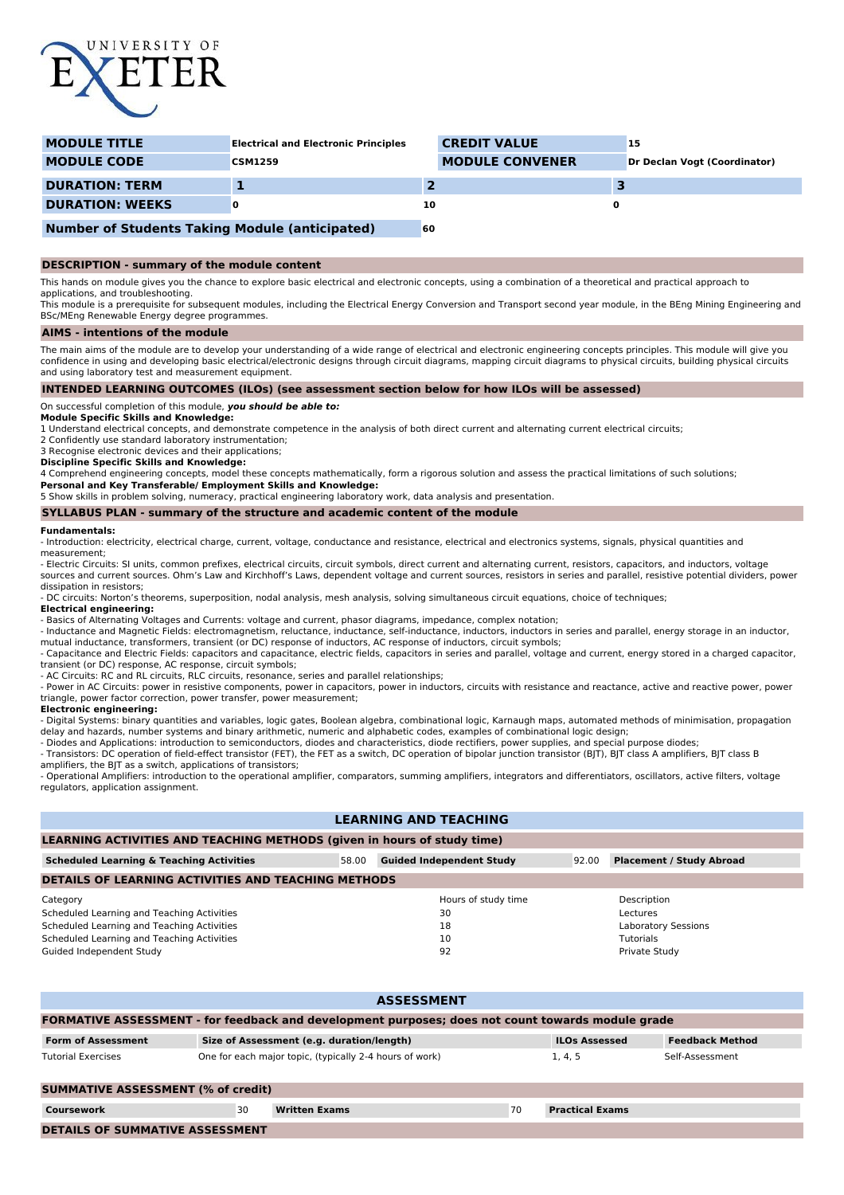

| <b>MODULE TITLE</b>    | <b>Electrical and Electronic Principles</b> | <b>CREDIT VALUE</b>    | 15                           |
|------------------------|---------------------------------------------|------------------------|------------------------------|
| <b>MODULE CODE</b>     | <b>CSM1259</b>                              | <b>MODULE CONVENER</b> | Dr Declan Vogt (Coordinator) |
| <b>DURATION: TERM</b>  |                                             |                        |                              |
| <b>DURATION: WEEKS</b> |                                             | 10                     |                              |
|                        |                                             |                        |                              |

# **Number of Students Taking Module (anticipated) 60**

### **DESCRIPTION - summary of the module content**

This hands on module gives you the chance to explore basic electrical and electronic concepts, using a combination of a theoretical and practical approach to applications, and troubleshooting.

This module is a prerequisite for subsequent modules, including the Electrical Energy Conversion and Transport second year module, in the BEng Mining Engineering and BSc/MEng Renewable Energy degree programmes.

#### **AIMS - intentions of the module**

The main aims of the module are to develop your understanding of a wide range of electrical and electronic engineering concepts principles. This module will give you confidence in using and developing basic electrical/electronic designs through circuit diagrams, mapping circuit diagrams to physical circuits, building physical circuits and using laboratory test and measurement equipment.

### **INTENDED LEARNING OUTCOMES (ILOs) (see assessment section below for how ILOs will be assessed)**

On successful completion of this module, **you should be able to:**

**Module Specific Skills and Knowledge:**

1 Understand electrical concepts, and demonstrate competence in the analysis of both direct current and alternating current electrical circuits;

2 Confidently use standard laboratory instrumentation; 3 Recognise electronic devices and their applications;

**Discipline Specific Skills and Knowledge:**

4 Comprehend engineering concepts, model these concepts mathematically, form a rigorous solution and assess the practical limitations of such solutions;

**Personal and Key Transferable/ Employment Skills and Knowledge:**

5 Show skills in problem solving, numeracy, practical engineering laboratory work, data analysis and presentation.

#### **SYLLABUS PLAN - summary of the structure and academic content of the module**

#### **Fundamentals:**

- Introduction: electricity, electrical charge, current, voltage, conductance and resistance, electrical and electronics systems, signals, physical quantities and measurement;

- Electric Circuits: SI units, common prefixes, electrical circuits, circuit symbols, direct current and alternating current, resistors, capacitors, and inductors, voltage sources and current sources. Ohm's Law and Kirchhoff's Laws, dependent voltage and current sources, resistors in series and parallel, resistive potential dividers, power dissipation in resistors;

- DC circuits: Norton's theorems, superposition, nodal analysis, mesh analysis, solving simultaneous circuit equations, choice of techniques;

#### **Electrical engineering:**

- Basics of Alternating Voltages and Currents: voltage and current, phasor diagrams, impedance, complex notation;

- Inductance and Magnetic Fields: electromagnetism, reluctance, inductance, self-inductance, inductors, inductors in series and parallel, energy storage in an inductor, mutual inductance, transformers, transient (or DC) response of inductors, AC response of inductors, circuit symbols;

- Capacitance and Electric Fields: capacitors and capacitance, electric fields, capacitors in series and parallel, voltage and current, energy stored in a charged capacitor, transient (or DC) response, AC response, circuit symbols;

- AC Circuits: RC and RL circuits, RLC circuits, resonance, series and parallel relationships;

- Power in AC Circuits: power in resistive components, power in capacitors, power in inductors, circuits with resistance and reactance, active and reactive power, power triangle, power factor correction, power transfer, power measurement;

#### **Electronic engineering:**

- Digital Systems: binary quantities and variables, logic gates, Boolean algebra, combinational logic, Karnaugh maps, automated methods of minimisation, propagation delay and hazards, number systems and binary arithmetic, numeric and alphabetic codes, examples of combinational logic design;

- Diodes and Applications: introduction to semiconductors, diodes and characteristics, diode rectifiers, power supplies, and special purpose diodes; - Transistors: DC operation of field-effect transistor (FET), the FET as a switch, DC operation of bipolar junction transistor (BJT), BJT class A amplifiers, BJT class B

amplifiers, the BJT as a switch, applications of transistors;

- Operational Amplifiers: introduction to the operational amplifier, comparators, summing amplifiers, integrators and differentiators, oscillators, active filters, voltage regulators, application assignment.

# **LEARNING AND TEACHING**

### **LEARNING ACTIVITIES AND TEACHING METHODS (given in hours of study time)**

| <b>Scheduled Learning &amp; Teaching Activities</b><br>58.00 |                           | <b>Guided Independent Study</b> | 92.00 | <b>Placement / Study Abroad</b> |  |  |  |  |
|--------------------------------------------------------------|---------------------------|---------------------------------|-------|---------------------------------|--|--|--|--|
| <b>DETAILS OF LEARNING ACTIVITIES AND TEACHING METHODS</b>   |                           |                                 |       |                                 |  |  |  |  |
| Category                                                     |                           | Hours of study time             |       | Description                     |  |  |  |  |
| Scheduled Learning and Teaching Activities                   |                           | 30<br>Lectures                  |       |                                 |  |  |  |  |
| Scheduled Learning and Teaching Activities                   | Laboratory Sessions<br>18 |                                 |       |                                 |  |  |  |  |
| Scheduled Learning and Teaching Activities                   |                           | 10                              |       | <b>Tutorials</b>                |  |  |  |  |
| Guided Independent Study                                     |                           | 92                              |       | Private Study                   |  |  |  |  |

| <b>ASSESSMENT</b>                                                                                        |                                                         |                        |                 |                        |  |  |  |
|----------------------------------------------------------------------------------------------------------|---------------------------------------------------------|------------------------|-----------------|------------------------|--|--|--|
| <b>FORMATIVE ASSESSMENT - for feedback and development purposes; does not count towards module grade</b> |                                                         |                        |                 |                        |  |  |  |
| <b>Form of Assessment</b>                                                                                | <b>ILOs Assessed</b>                                    | <b>Feedback Method</b> |                 |                        |  |  |  |
| <b>Tutorial Exercises</b>                                                                                | One for each major topic, (typically 2-4 hours of work) | 1.4.5                  | Self-Assessment |                        |  |  |  |
| <b>SUMMATIVE ASSESSMENT (% of credit)</b>                                                                |                                                         |                        |                 |                        |  |  |  |
| Coursework                                                                                               | 30                                                      | <b>Written Exams</b>   | 70              | <b>Practical Exams</b> |  |  |  |
| <b>DETAILS OF SUMMATIVE ASSESSMENT</b>                                                                   |                                                         |                        |                 |                        |  |  |  |